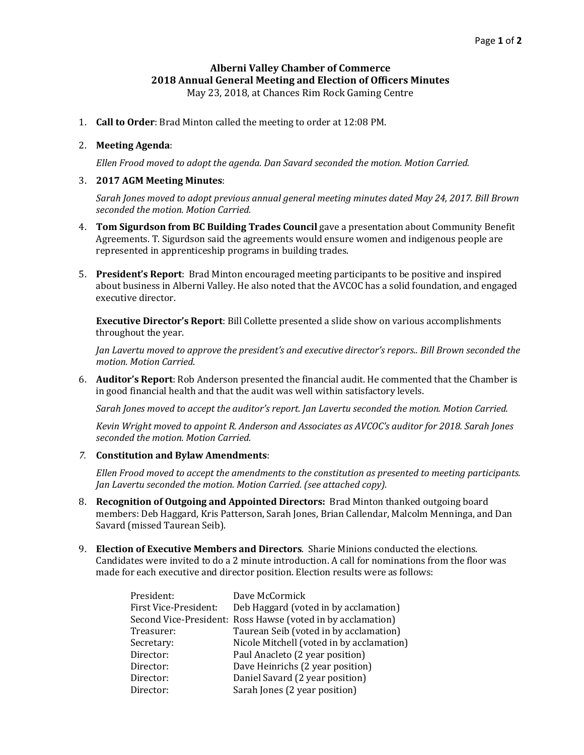## **Alberni Valley Chamber of Commerce 2018 Annual General Meeting and Election of Officers Minutes**

May 23, 2018, at Chances Rim Rock Gaming Centre

1. **Call to Order**: Brad Minton called the meeting to order at 12:08 PM.

## 2. **Meeting Agenda**:

*Ellen Frood moved to adopt the agenda. Dan Savard seconded the motion. Motion Carried.*

## 3. **2017 AGM Meeting Minutes**:

*Sarah Jones moved to adopt previous annual general meeting minutes dated May 24, 2017. Bill Brown seconded the motion. Motion Carried.*

- 4. **Tom Sigurdson from BC Building Trades Council** gave a presentation about Community Benefit Agreements. T. Sigurdson said the agreements would ensure women and indigenous people are represented in apprenticeship programs in building trades.
- 5. **President's Report**: Brad Minton encouraged meeting participants to be positive and inspired about business in Alberni Valley. He also noted that the AVCOC has a solid foundation, and engaged executive director.

**Executive Director's Report**: Bill Collette presented a slide show on various accomplishments throughout the year.

*Jan Lavertu moved to approve the president's and executive director's repors.. Bill Brown seconded the motion. Motion Carried.*

6. **Auditor's Report**: Rob Anderson presented the financial audit. He commented that the Chamber is in good financial health and that the audit was well within satisfactory levels.

*Sarah Jones moved to accept the auditor's report. Jan Lavertu seconded the motion. Motion Carried.*

*Kevin Wright moved to appoint R. Anderson and Associates as AVCOC's auditor for 2018. Sarah Jones seconded the motion. Motion Carried.*

*7.* **Constitution and Bylaw Amendments**:

*Ellen Frood moved to accept the amendments to the constitution as presented to meeting participants. Jan Lavertu seconded the motion. Motion Carried. (see attached copy).*

- 8. **Recognition of Outgoing and Appointed Directors:** Brad Minton thanked outgoing board members: Deb Haggard, Kris Patterson, Sarah Jones, Brian Callendar, Malcolm Menninga, and Dan Savard (missed Taurean Seib).
- 9. **Election of Executive Members and Directors**. Sharie Minions conducted the elections. Candidates were invited to do a 2 minute introduction. A call for nominations from the floor was made for each executive and director position. Election results were as follows:

| President:            | Dave McCormick                                              |
|-----------------------|-------------------------------------------------------------|
| First Vice-President: | Deb Haggard (voted in by acclamation)                       |
|                       | Second Vice-President: Ross Hawse (voted in by acclamation) |
| Treasurer:            | Taurean Seib (voted in by acclamation)                      |
| Secretary:            | Nicole Mitchell (voted in by acclamation)                   |
| Director:             | Paul Anacleto (2 year position)                             |
| Director:             | Dave Heinrichs (2 year position)                            |
| Director:             | Daniel Savard (2 year position)                             |
| Director:             | Sarah Jones (2 year position)                               |